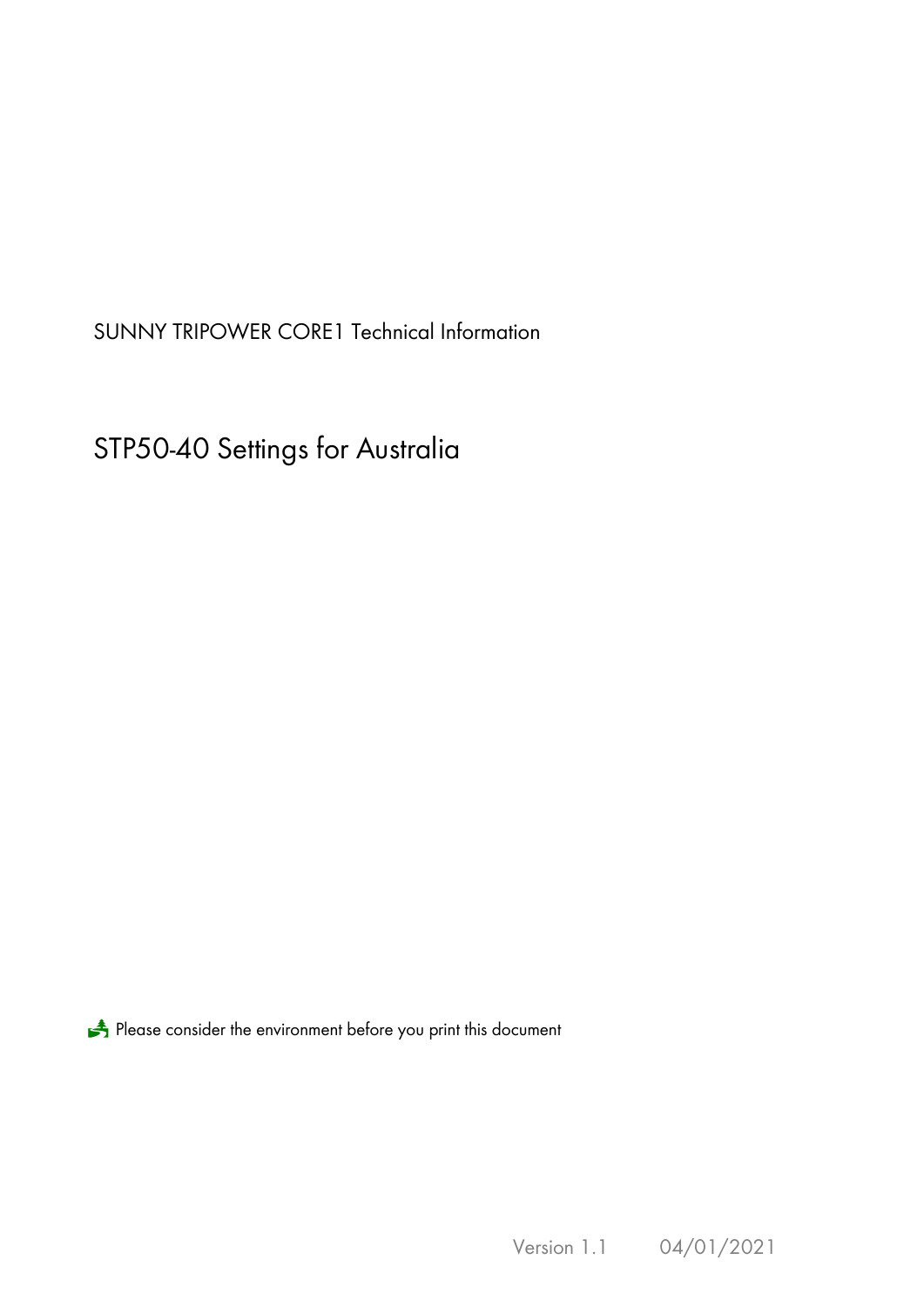SUNNY TRIPOWER CORE1 Technical Information

STP50-40 Settings for Australia

Please consider the environment before you print this document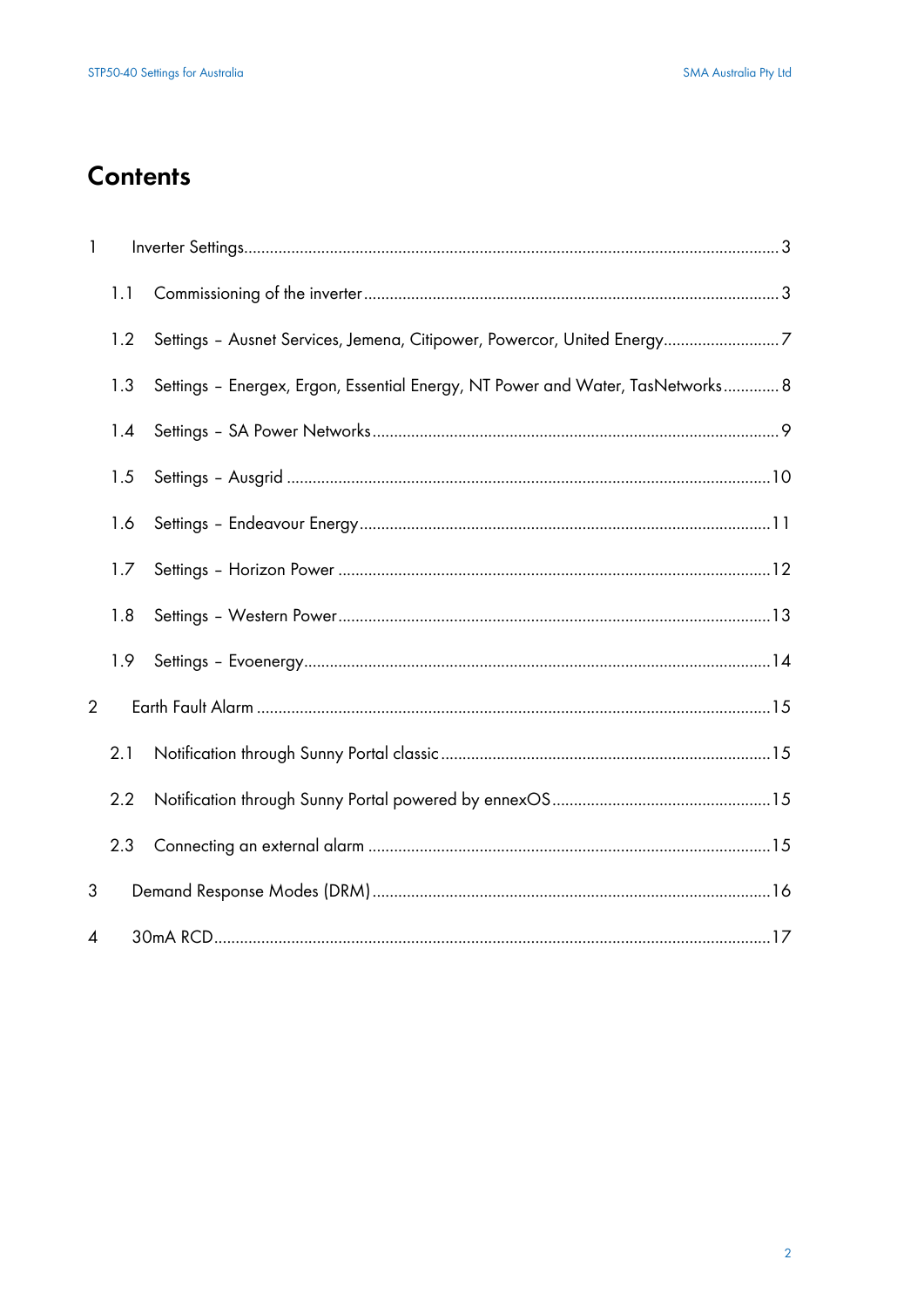# **Contents**

| $\mathbf{1}$   |     |                                                                                |  |
|----------------|-----|--------------------------------------------------------------------------------|--|
|                | 1.1 |                                                                                |  |
|                | 1.2 | Settings - Ausnet Services, Jemena, Citipower, Powercor, United Energy7        |  |
|                | 1.3 | Settings - Energex, Ergon, Essential Energy, NT Power and Water, TasNetworks 8 |  |
|                | 1.4 |                                                                                |  |
|                | 1.5 |                                                                                |  |
|                | 1.6 |                                                                                |  |
|                | 1.7 |                                                                                |  |
|                | 1.8 |                                                                                |  |
|                | 1.9 |                                                                                |  |
| $\overline{2}$ |     |                                                                                |  |
|                | 2.1 |                                                                                |  |
|                | 2.2 |                                                                                |  |
|                | 2.3 |                                                                                |  |
| 3              |     |                                                                                |  |
| 4              |     |                                                                                |  |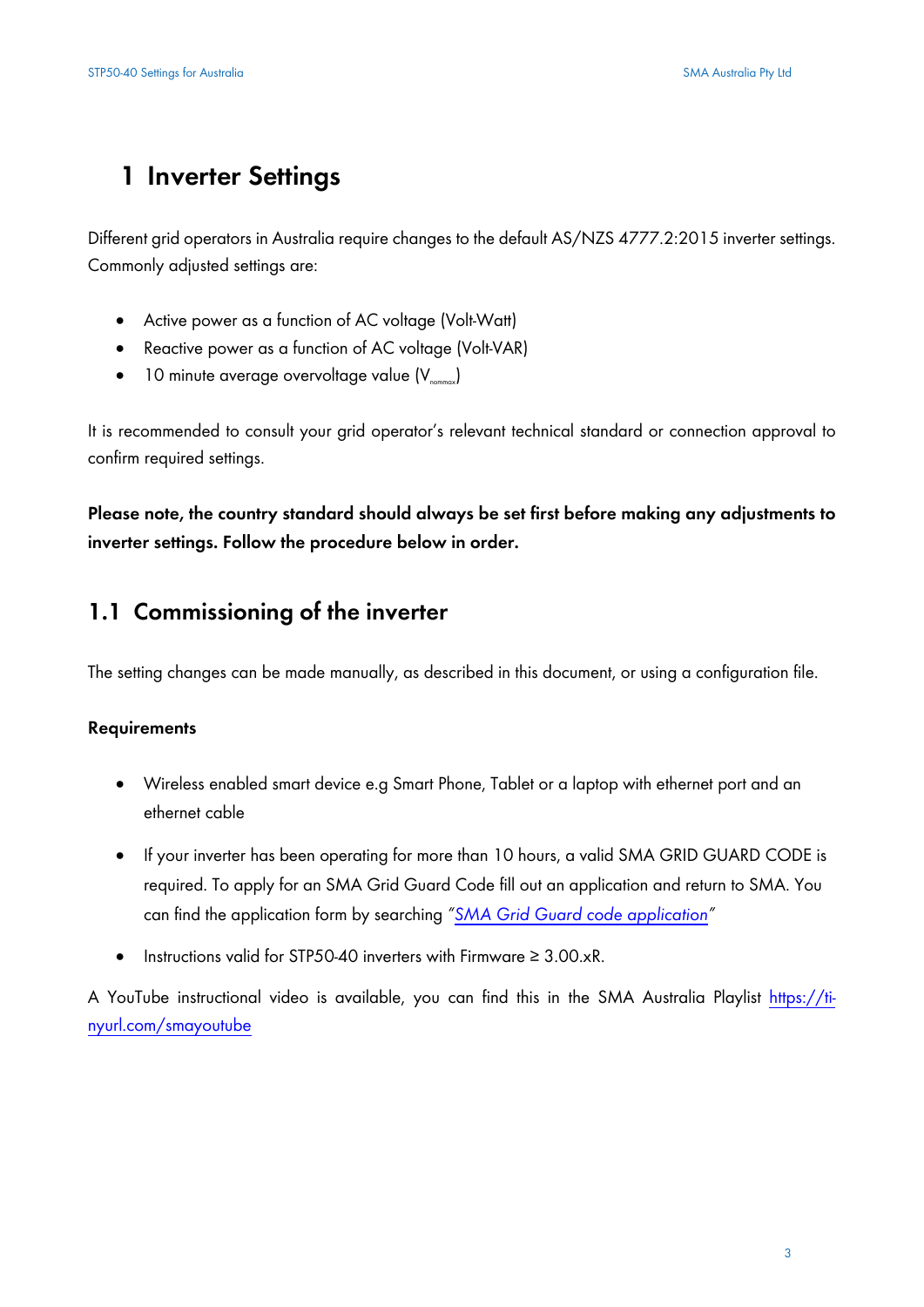# **1 Inverter Settings**

Different grid operators in Australia require changes to the default AS/NZS 4777.2:2015 inverter settings. Commonly adjusted settings are:

- Active power as a function of AC voltage (Volt-Watt)
- Reactive power as a function of AC voltage (Volt-VAR)
- $\bullet$  10 minute average overvoltage value  $(V_{\text{normal}})$

It is recommended to consult your grid operator's relevant technical standard or connection approval to confirm required settings.

**Please note, the country standard should always be set first before making any adjustments to inverter settings. Follow the procedure below in order.**

### **1.1 Commissioning of the inverter**

The setting changes can be made manually, as described in this document, or using a configuration file.

#### **Requirements**

- Wireless enabled smart device e.g Smart Phone, Tablet or a laptop with ethernet port and an ethernet cable
- If your inverter has been operating for more than 10 hours, a valid SMA GRID GUARD CODE is required. To apply for an SMA Grid Guard Code fill out an application and return to SMA. You can find the application form by searching *["SMA Grid Guard code application"](https://www.google.com/search?q=SMA%20Grid%20Guard%20code%20application&rct=j)*
- Instructions valid for STP50-40 inverters with Firmware  $\geq 3.00 \text{ xR}$ .

A YouTube instructional video is available, you can find this in the SMA Australia Playlist [https://ti](https://tinyurl.com/smayoutube)[nyurl.com/smayoutube](https://tinyurl.com/smayoutube)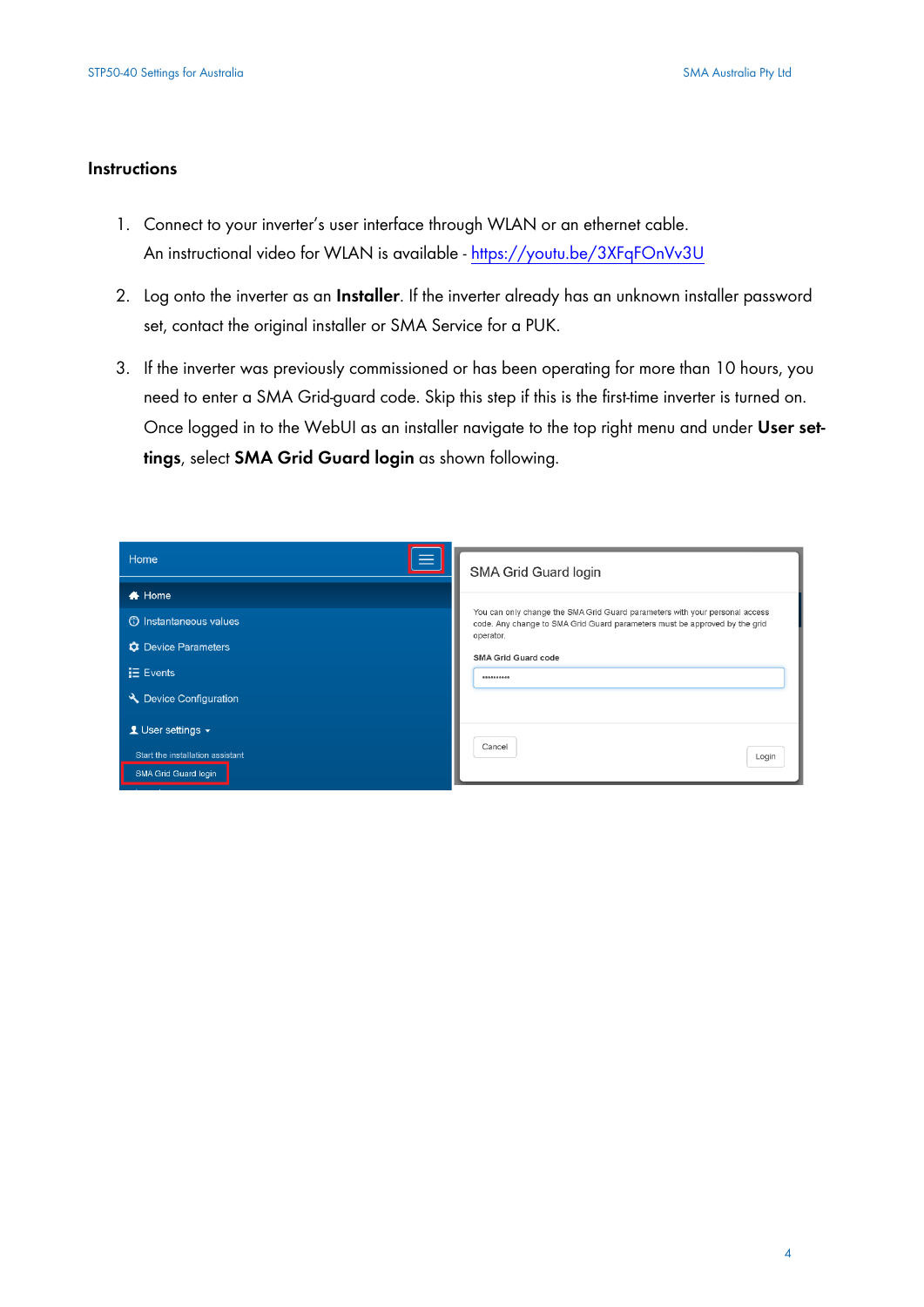#### **Instructions**

- 1. Connect to your inverter's user interface through WLAN or an ethernet cable. An instructional video for WLAN is available - <https://youtu.be/3XFqFOnVv3U>
- 2. Log onto the inverter as an **Installer**. If the inverter already has an unknown installer password set, contact the original installer or SMA Service for a PUK.
- 3. If the inverter was previously commissioned or has been operating for more than 10 hours, you need to enter a SMA Grid-guard code. Skip this step if this is the first-time inverter is turned on. Once logged in to the WebUI as an installer navigate to the top right menu and under **User settings**, select **SMA Grid Guard login** as shown following.

| Home                                                                                                                 | SMA Grid Guard login                                                                                                                                                                                               |
|----------------------------------------------------------------------------------------------------------------------|--------------------------------------------------------------------------------------------------------------------------------------------------------------------------------------------------------------------|
| $\bigstar$ Home<br><b>C</b> Instantaneous values<br><b>C</b> Device Parameters<br>$E$ Events<br>Device Configuration | You can only change the SMA Grid Guard parameters with your personal access<br>code. Any change to SMA Grid Guard parameters must be approved by the grid<br>operator.<br>SMA Grid Guard code<br><b>**********</b> |
| 1 User settings $\sim$<br>Start the installation assistant<br>SMA Grid Guard login                                   | Cancel<br>Login                                                                                                                                                                                                    |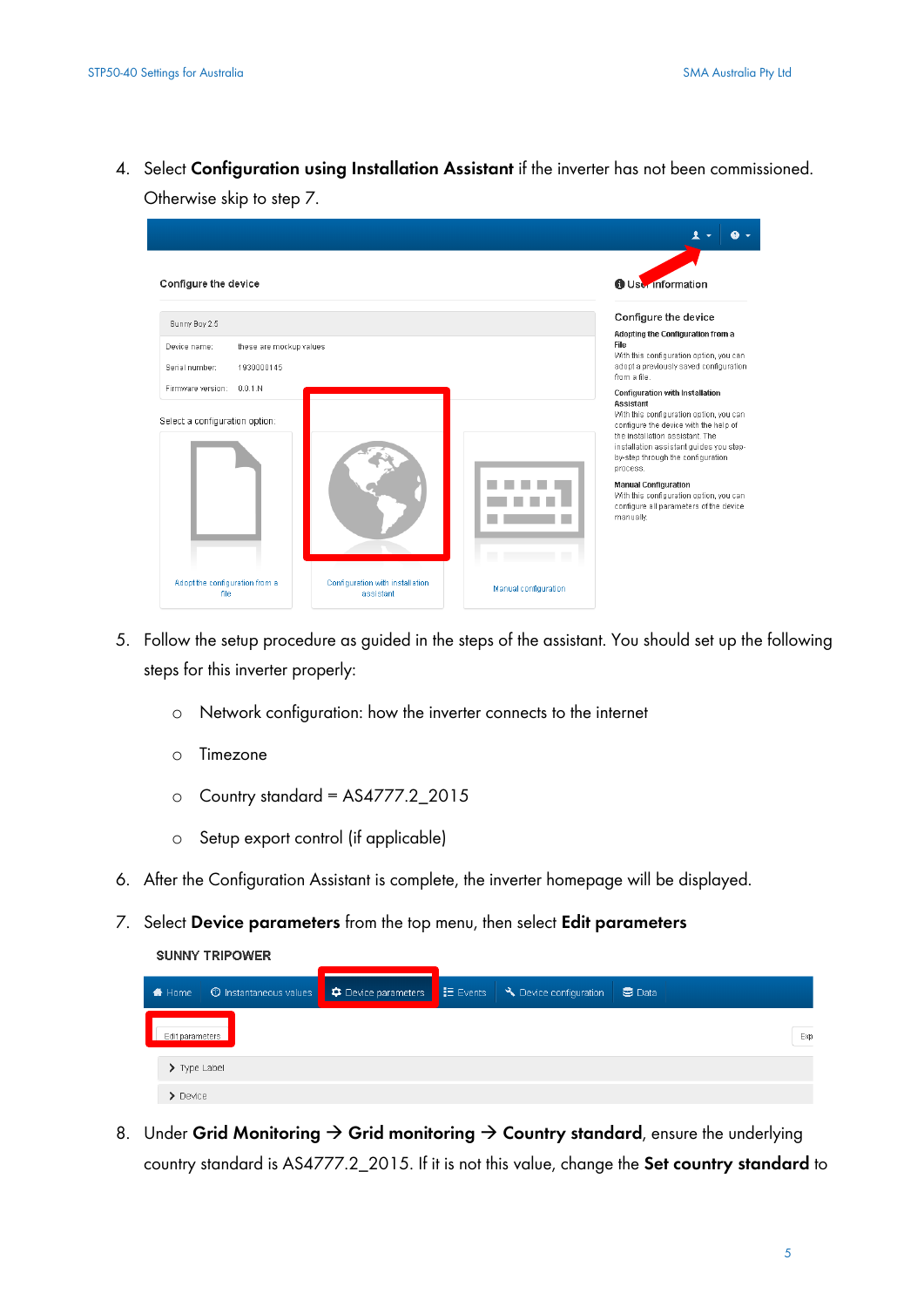4. Select **Configuration using Installation Assistant** if the inverter has not been commissioned. Otherwise skip to step 7.

| Configure the device                                                                     |                                              |                      | <b>O</b> User Information                                                                                                                                                                                                                                                                                                                                                                               |
|------------------------------------------------------------------------------------------|----------------------------------------------|----------------------|---------------------------------------------------------------------------------------------------------------------------------------------------------------------------------------------------------------------------------------------------------------------------------------------------------------------------------------------------------------------------------------------------------|
| Sunny Boy 2.5<br>Device name:<br>these are mockup values<br>Serial number:<br>1930000145 |                                              |                      | Configure the device<br>Adopting the Configuration from a<br>File<br>With this configuration option, you can<br>adopt a previously saved configuration<br>from a file.                                                                                                                                                                                                                                  |
| Firmware version:<br>0.0.1 N<br>Select a configuration option:                           |                                              |                      | <b>Configuration with Installation</b><br>Assistant<br>With this configuration option, you can<br>configure the device with the help of<br>the installation assistant. The<br>installation assistant guides you step-<br>by-step through the configuration<br>process.<br><b>Manual Configuration</b><br>With this configuration option, you can<br>configure all parameters of the device<br>manually. |
| Adopt the configuration from a<br>file                                                   | Configuration with installation<br>assistant | Manual configuration |                                                                                                                                                                                                                                                                                                                                                                                                         |

- 5. Follow the setup procedure as guided in the steps of the assistant. You should set up the following steps for this inverter properly:
	- o Network configuration: how the inverter connects to the internet
	- o Timezone

**SUNNY TRIPOWER** 

- o Country standard = AS4777.2\_2015
- o Setup export control (if applicable)
- 6. After the Configuration Assistant is complete, the inverter homepage will be displayed.
- 7. Select **Device parameters** from the top menu, then select **Edit parameters**

| Home                         | ① Instantaneous values ● ● ● Device parameters ● 三 Events ● ● Device configuration |  | $\bullet$ Data |
|------------------------------|------------------------------------------------------------------------------------|--|----------------|
| Edit parameters              |                                                                                    |  | Exp.           |
| $\sum$ Type Label            |                                                                                    |  |                |
| $\blacktriangleright$ Device |                                                                                    |  |                |

8. Under Grid Monitoring  $\rightarrow$  Grid monitoring  $\rightarrow$  Country standard, ensure the underlying country standard is AS4777.2\_2015. If it is not this value, change the **Set country standard** to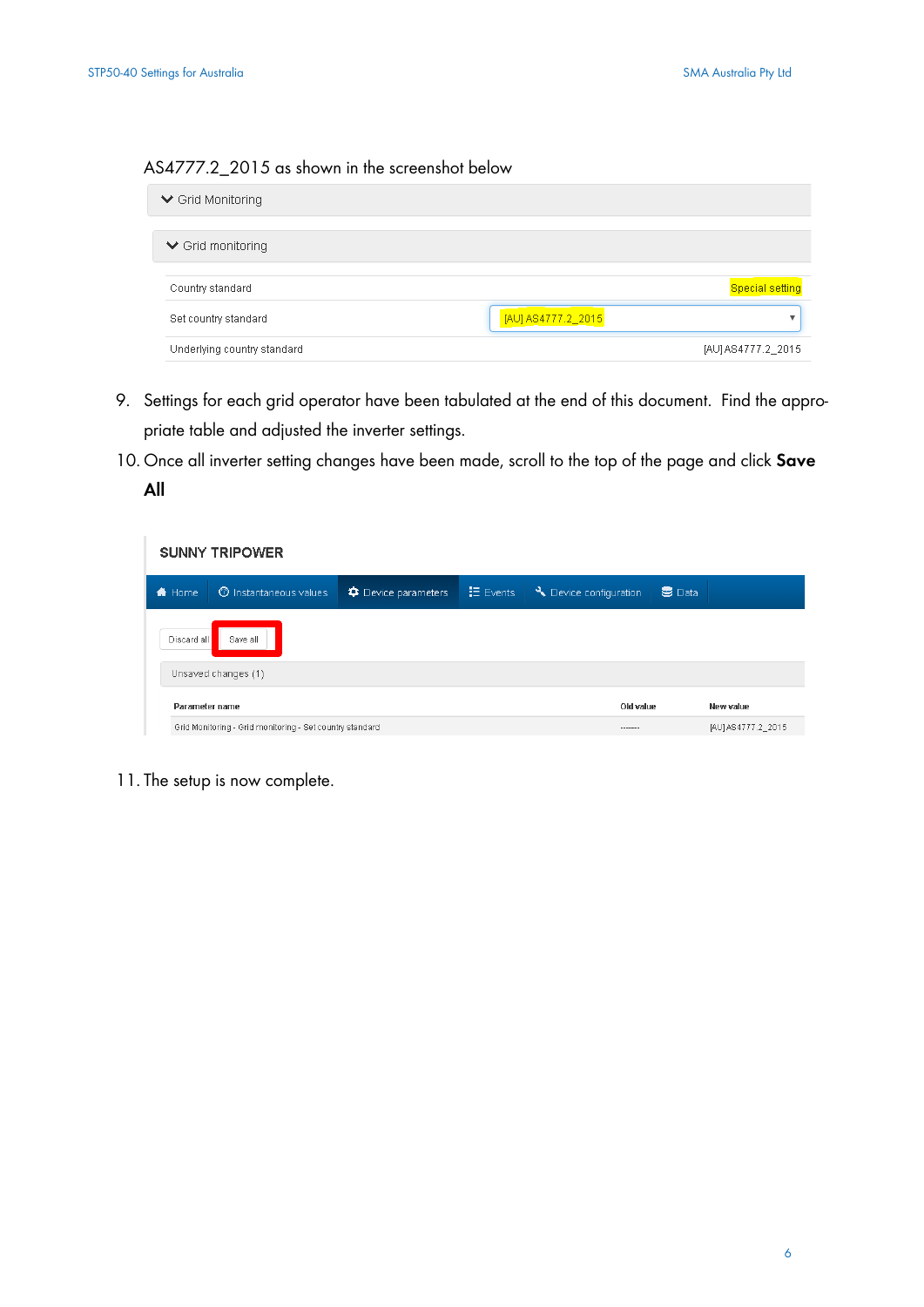#### AS4777.2\_2015 as shown in the screenshot below

| $\vee$ Grid Monitoring      |                    |                        |
|-----------------------------|--------------------|------------------------|
| $\vee$ Grid monitoring      |                    |                        |
| Country standard            |                    | <b>Special setting</b> |
| Set country standard        | [AU] AS4777.2_2015 | v                      |
| Underlying country standard |                    | [AU] AS4777.2_2015     |

- 9. Settings for each grid operator have been tabulated at the end of this document. Find the appropriate table and adjusted the inverter settings.
- 10. Once all inverter setting changes have been made, scroll to the top of the page and click **Save**

#### **All**

|                  | <b>SUNNY TRIPOWER</b>                                    |                           |                 |                      |        |                    |  |
|------------------|----------------------------------------------------------|---------------------------|-----------------|----------------------|--------|--------------------|--|
| <del></del> Home | <b>C</b> Instantaneous values                            | <b></b> Device parameters | <b>旧</b> Events | Device configuration | 5 Data |                    |  |
| Discard all      | Save all                                                 |                           |                 |                      |        |                    |  |
|                  | Unsaved changes (1)                                      |                           |                 |                      |        |                    |  |
|                  | Parameter name                                           |                           |                 | Old value            |        | New value          |  |
|                  | Grid Monitoring - Grid monitoring - Set country standard |                           |                 | -------              |        | [AU] AS4777.2_2015 |  |

11. The setup is now complete.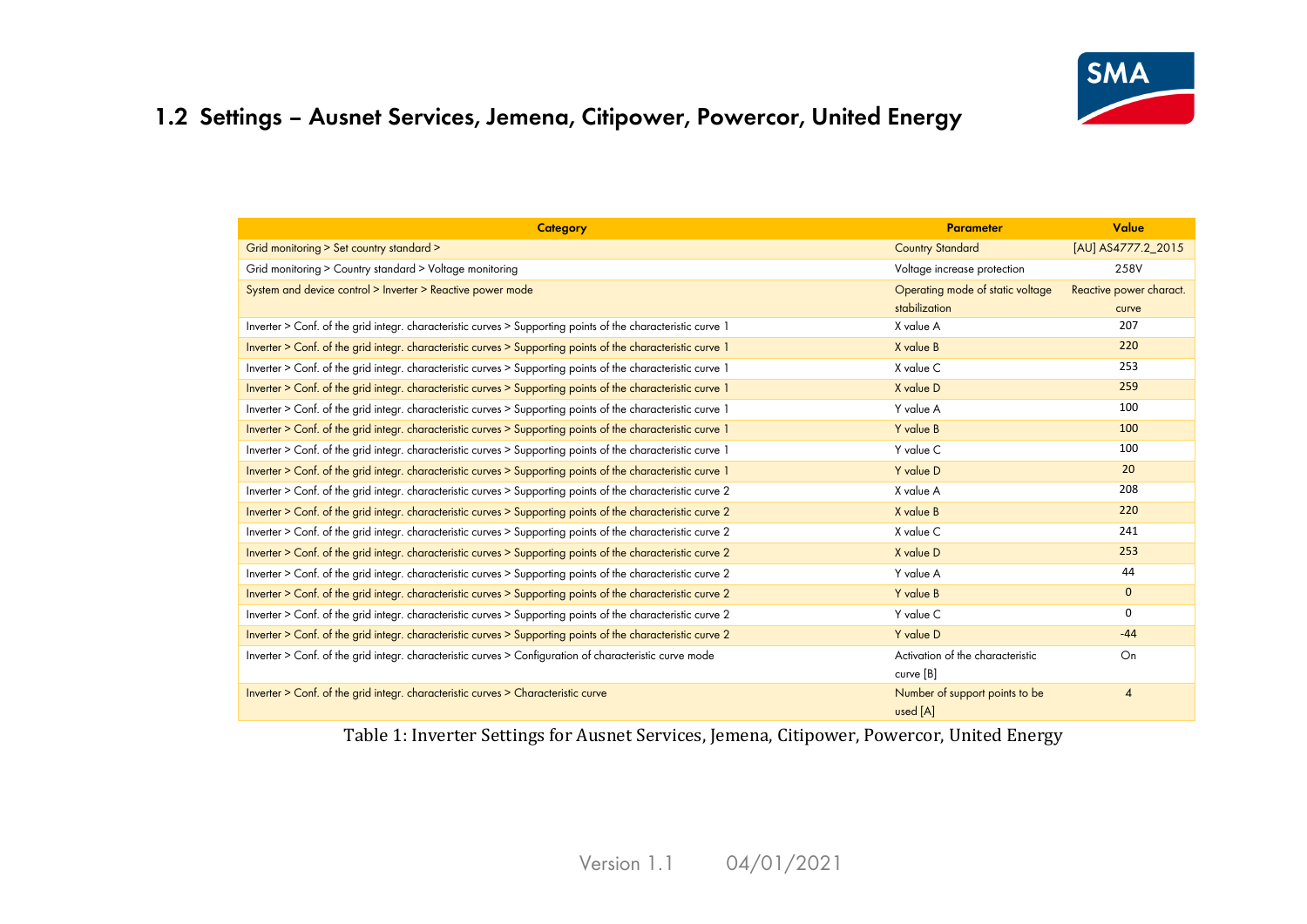

### **1.2 Settings – Ausnet Services, Jemena, Citipower, Powercor, United Energy**

| <b>Category</b>                                                                                              | <b>Parameter</b>                 | Value                   |
|--------------------------------------------------------------------------------------------------------------|----------------------------------|-------------------------|
| Grid monitoring > Set country standard >                                                                     | <b>Country Standard</b>          | [AU] AS4777.2_2015      |
| Grid monitoring > Country standard > Voltage monitoring                                                      | Voltage increase protection      | 258V                    |
| System and device control > Inverter > Reactive power mode                                                   | Operating mode of static voltage | Reactive power charact. |
|                                                                                                              | stabilization                    | curve                   |
| Inverter > Conf. of the grid integr. characteristic curves > Supporting points of the characteristic curve 1 | X value A                        | 207                     |
| Inverter > Conf. of the grid integr. characteristic curves > Supporting points of the characteristic curve 1 | X value B                        | 220                     |
| Inverter > Conf. of the grid integr. characteristic curves > Supporting points of the characteristic curve 1 | X value C                        | 253                     |
| Inverter > Conf. of the grid integr. characteristic curves > Supporting points of the characteristic curve 1 | X value D                        | 259                     |
| Inverter > Conf. of the grid integr. characteristic curves > Supporting points of the characteristic curve 1 | Y value A                        | 100                     |
| Inverter > Conf. of the grid integr. characteristic curves > Supporting points of the characteristic curve 1 | Y value B                        | 100                     |
| Inverter > Conf. of the grid integr. characteristic curves > Supporting points of the characteristic curve 1 | Y value C                        | 100                     |
| Inverter > Conf. of the grid integr. characteristic curves > Supporting points of the characteristic curve 1 | Y value D                        | 20                      |
| Inverter > Conf. of the grid integr. characteristic curves > Supporting points of the characteristic curve 2 | X value A                        | 208                     |
| Inverter > Conf. of the grid integr. characteristic curves > Supporting points of the characteristic curve 2 | X value B                        | 220                     |
| Inverter > Conf. of the grid integr. characteristic curves > Supporting points of the characteristic curve 2 | X value C                        | 241                     |
| Inverter > Conf. of the grid integr. characteristic curves > Supporting points of the characteristic curve 2 | X value D                        | 253                     |
| Inverter > Conf. of the grid integr. characteristic curves > Supporting points of the characteristic curve 2 | Y value A                        | 44                      |
| Inverter > Conf. of the grid integr. characteristic curves > Supporting points of the characteristic curve 2 | Y value B                        | $\mathbf{0}$            |
| Inverter > Conf. of the grid integr. characteristic curves > Supporting points of the characteristic curve 2 | Y value C                        | $\Omega$                |
| Inverter > Conf. of the grid integr. characteristic curves > Supporting points of the characteristic curve 2 | Y value D                        | $-44$                   |
| Inverter > Conf. of the grid integr. characteristic curves > Configuration of characteristic curve mode      | Activation of the characteristic | On                      |
|                                                                                                              | curve [B]                        |                         |
| Inverter > Conf. of the grid integr. characteristic curves > Characteristic curve                            | Number of support points to be   | $\overline{4}$          |
|                                                                                                              | used [A]                         |                         |

Table 1: Inverter Settings for Ausnet Services, Jemena, Citipower, Powercor, United Energy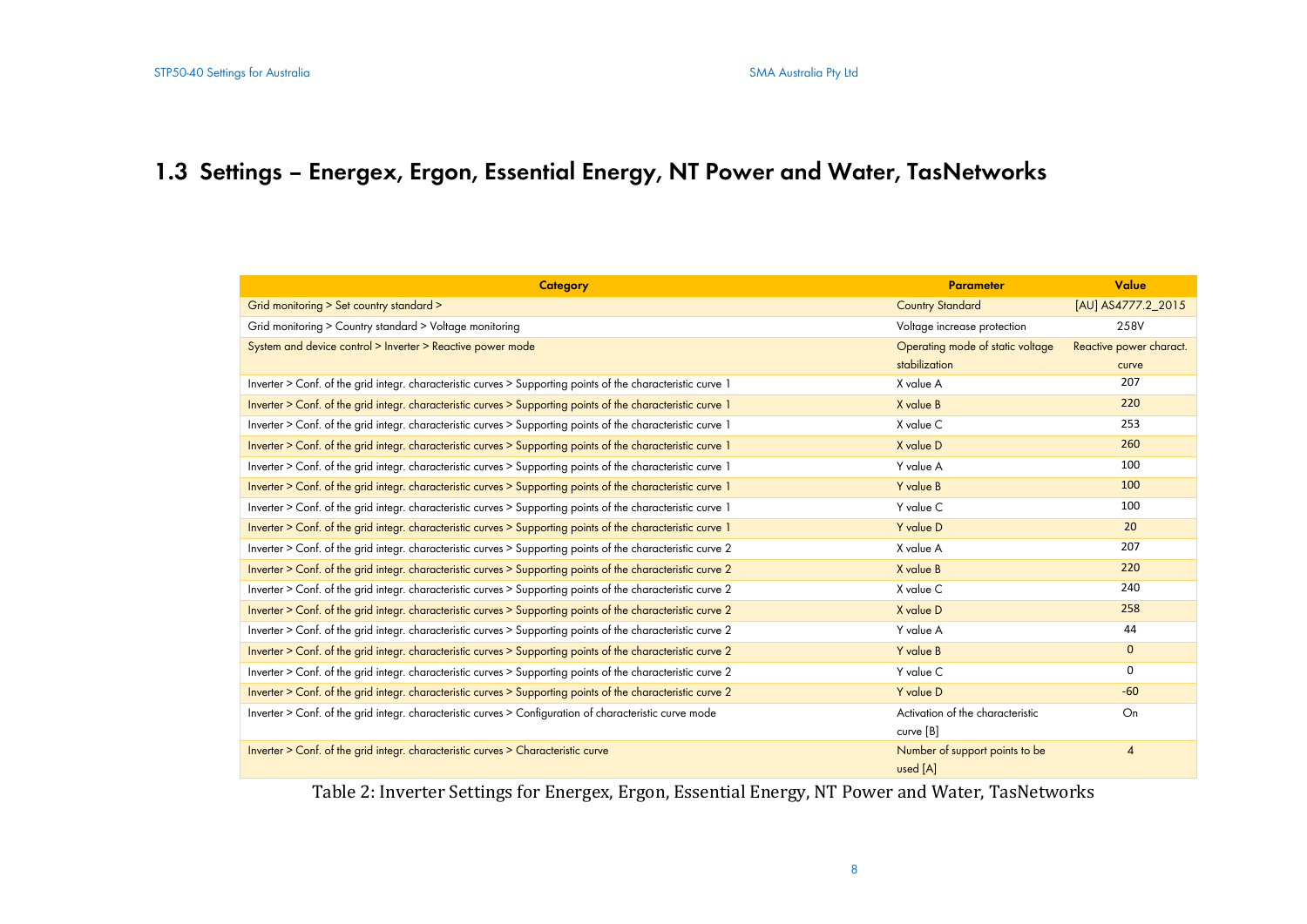# **1.3 Settings – Energex, Ergon, Essential Energy, NT Power and Water, TasNetworks**

| <b>Category</b>                                                                                              | <b>Parameter</b>                 | Value                   |
|--------------------------------------------------------------------------------------------------------------|----------------------------------|-------------------------|
| Grid monitoring > Set country standard >                                                                     | <b>Country Standard</b>          | [AU] AS4777.2_2015      |
| Grid monitoring > Country standard > Voltage monitoring                                                      | Voltage increase protection      | 258V                    |
| System and device control > Inverter > Reactive power mode                                                   | Operating mode of static voltage | Reactive power charact. |
|                                                                                                              | stabilization                    | curve                   |
| Inverter > Conf. of the grid integr. characteristic curves > Supporting points of the characteristic curve 1 | X value A                        | 207                     |
| Inverter > Conf. of the grid integr. characteristic curves > Supporting points of the characteristic curve 1 | X value B                        | 220                     |
| Inverter > Conf. of the grid integr. characteristic curves > Supporting points of the characteristic curve 1 | X value C                        | 253                     |
| Inverter > Conf. of the grid integr. characteristic curves > Supporting points of the characteristic curve 1 | X value D                        | 260                     |
| Inverter > Conf. of the grid integr. characteristic curves > Supporting points of the characteristic curve 1 | Y value A                        | 100                     |
| Inverter > Conf. of the grid integr. characteristic curves > Supporting points of the characteristic curve 1 | Y value B                        | 100                     |
| Inverter > Conf. of the grid integr. characteristic curves > Supporting points of the characteristic curve 1 | Y value C                        | 100                     |
| Inverter > Conf. of the grid integr. characteristic curves > Supporting points of the characteristic curve 1 | Y value D                        | 20                      |
| Inverter > Conf. of the grid integr. characteristic curves > Supporting points of the characteristic curve 2 | X value A                        | 207                     |
| Inverter > Conf. of the grid integr. characteristic curves > Supporting points of the characteristic curve 2 | X value B                        | 220                     |
| Inverter > Conf. of the grid integr. characteristic curves > Supporting points of the characteristic curve 2 | X value C                        | 240                     |
| Inverter > Conf. of the grid integr. characteristic curves > Supporting points of the characteristic curve 2 | X value D                        | 258                     |
| Inverter > Conf. of the grid integr. characteristic curves > Supporting points of the characteristic curve 2 | Y value A                        | 44                      |
| Inverter > Conf. of the grid integr. characteristic curves > Supporting points of the characteristic curve 2 | Y value B                        | $\mathbf{0}$            |
| Inverter > Conf. of the grid integr. characteristic curves > Supporting points of the characteristic curve 2 | Y value C                        | 0                       |
| Inverter > Conf. of the grid integr. characteristic curves > Supporting points of the characteristic curve 2 | Y value D                        | $-60$                   |
| Inverter > Conf. of the grid integr. characteristic curves > Configuration of characteristic curve mode      | Activation of the characteristic | On                      |
|                                                                                                              | curve [B]                        |                         |
| Inverter > Conf. of the grid integr. characteristic curves > Characteristic curve                            | Number of support points to be   | $\overline{4}$          |
|                                                                                                              | used [A]                         |                         |

Table 2: Inverter Settings for Energex, Ergon, Essential Energy, NT Power and Water, TasNetworks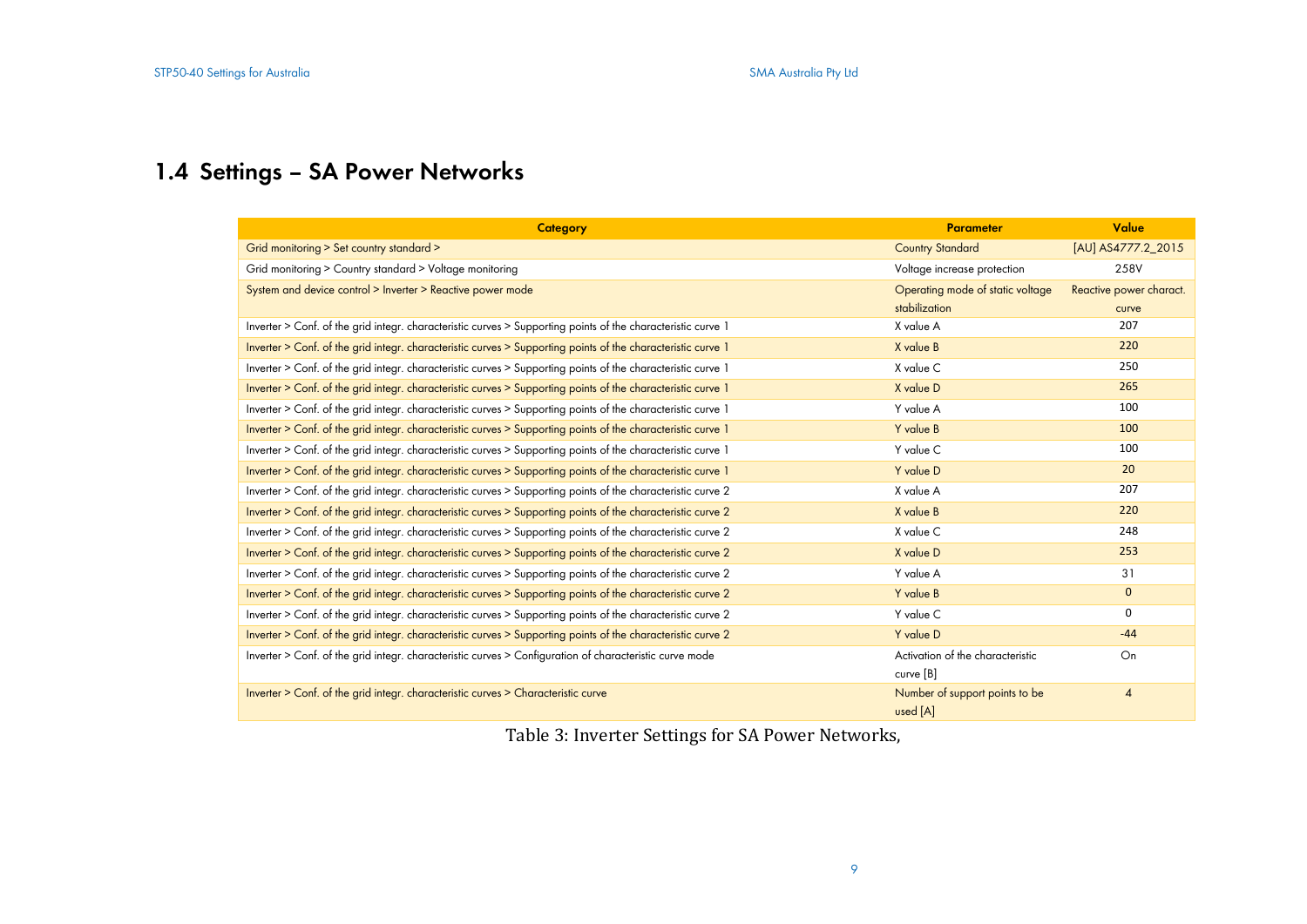# **1.4 Settings – SA Power Networks**

| <b>Category</b>                                                                                              | <b>Parameter</b>                 | Value                   |
|--------------------------------------------------------------------------------------------------------------|----------------------------------|-------------------------|
| Grid monitoring > Set country standard >                                                                     | <b>Country Standard</b>          | [AU] AS4777.2_2015      |
| Grid monitoring > Country standard > Voltage monitoring                                                      | Voltage increase protection      | 258V                    |
| System and device control > Inverter > Reactive power mode                                                   | Operating mode of static voltage | Reactive power charact. |
|                                                                                                              | stabilization                    | curve                   |
| Inverter > Conf. of the grid integr. characteristic curves > Supporting points of the characteristic curve 1 | X value A                        | 207                     |
| Inverter > Conf. of the grid integr. characteristic curves > Supporting points of the characteristic curve 1 | X value B                        | 220                     |
| Inverter > Conf. of the grid integr. characteristic curves > Supporting points of the characteristic curve 1 | X value C                        | 250                     |
| Inverter > Conf. of the grid integr. characteristic curves > Supporting points of the characteristic curve 1 | X value D                        | 265                     |
| Inverter > Conf. of the grid integr. characteristic curves > Supporting points of the characteristic curve 1 | Y value A                        | 100                     |
| Inverter > Conf. of the grid integr. characteristic curves > Supporting points of the characteristic curve 1 | Y value B                        | 100                     |
| Inverter > Conf. of the grid integr. characteristic curves > Supporting points of the characteristic curve 1 | Y value C                        | 100                     |
| Inverter > Conf. of the grid integr. characteristic curves > Supporting points of the characteristic curve 1 | Y value D                        | 20                      |
| Inverter > Conf. of the grid integr. characteristic curves > Supporting points of the characteristic curve 2 | X value A                        | 207                     |
| Inverter > Conf. of the grid integr. characteristic curves > Supporting points of the characteristic curve 2 | X value B                        | 220                     |
| Inverter > Conf. of the grid integr. characteristic curves > Supporting points of the characteristic curve 2 | X value C                        | 248                     |
| Inverter > Conf. of the grid integr. characteristic curves > Supporting points of the characteristic curve 2 | X value D                        | 253                     |
| Inverter > Conf. of the grid integr. characteristic curves > Supporting points of the characteristic curve 2 | Y value A                        | 31                      |
| Inverter > Conf. of the grid integr. characteristic curves > Supporting points of the characteristic curve 2 | Y value B                        | $\mathbf{0}$            |
| Inverter > Conf. of the grid integr. characteristic curves > Supporting points of the characteristic curve 2 | Y value C                        | 0                       |
| Inverter > Conf. of the grid integr. characteristic curves > Supporting points of the characteristic curve 2 | Y value D                        | $-44$                   |
| Inverter > Conf. of the grid integr. characteristic curves > Configuration of characteristic curve mode      | Activation of the characteristic | On                      |
|                                                                                                              | curve [B]                        |                         |
| Inverter > Conf. of the grid integr. characteristic curves > Characteristic curve                            | Number of support points to be   | $\overline{4}$          |
|                                                                                                              | used [A]                         |                         |

Table 3: Inverter Settings for SA Power Networks,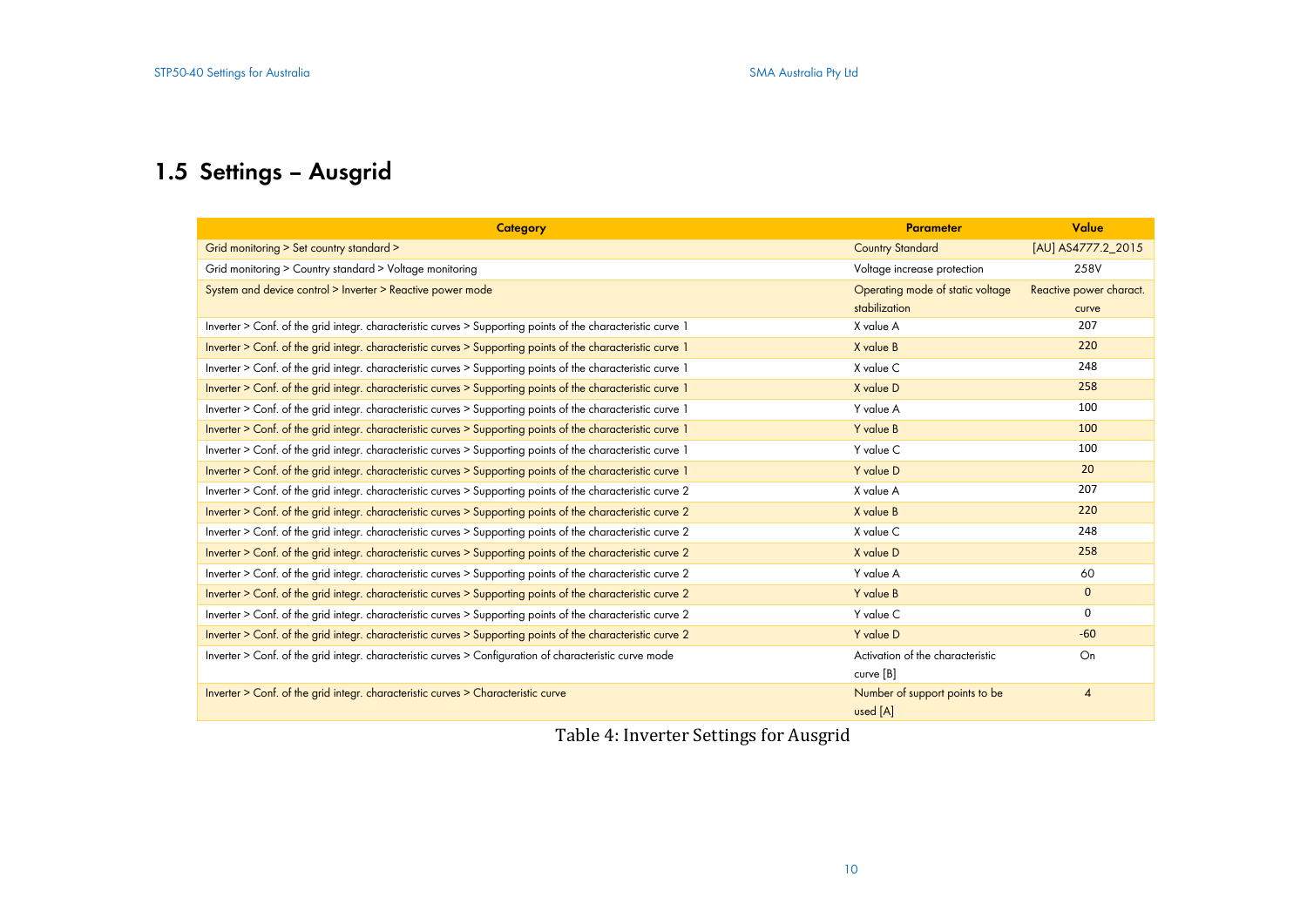# **1.5 Settings – Ausgrid**

| Category                                                                                                     | <b>Parameter</b>                 | Value                   |
|--------------------------------------------------------------------------------------------------------------|----------------------------------|-------------------------|
| Grid monitoring > Set country standard >                                                                     | <b>Country Standard</b>          | [AU] AS4777.2_2015      |
| Grid monitoring > Country standard > Voltage monitoring                                                      | Voltage increase protection      | 258V                    |
| System and device control > Inverter > Reactive power mode                                                   | Operating mode of static voltage | Reactive power charact. |
|                                                                                                              | stabilization                    | curve                   |
| Inverter > Conf. of the grid integr. characteristic curves > Supporting points of the characteristic curve 1 | X value A                        | 207                     |
| Inverter > Conf. of the grid integr. characteristic curves > Supporting points of the characteristic curve 1 | X value B                        | 220                     |
| Inverter > Conf. of the grid integr. characteristic curves > Supporting points of the characteristic curve 1 | X value C                        | 248                     |
| Inverter > Conf. of the grid integr. characteristic curves > Supporting points of the characteristic curve 1 | X value D                        | 258                     |
| Inverter > Conf. of the grid integr. characteristic curves > Supporting points of the characteristic curve 1 | Y value A                        | 100                     |
| Inverter > Conf. of the grid integr. characteristic curves > Supporting points of the characteristic curve 1 | Y value B                        | 100                     |
| Inverter > Conf. of the grid integr. characteristic curves > Supporting points of the characteristic curve 1 | Y value C                        | 100                     |
| Inverter > Conf. of the grid integr. characteristic curves > Supporting points of the characteristic curve 1 | Y value D                        | 20                      |
| Inverter > Conf. of the grid integr. characteristic curves > Supporting points of the characteristic curve 2 | X value A                        | 207                     |
| Inverter > Conf. of the grid integr. characteristic curves > Supporting points of the characteristic curve 2 | X value B                        | 220                     |
| Inverter > Conf. of the grid integr. characteristic curves > Supporting points of the characteristic curve 2 | X value C                        | 248                     |
| Inverter > Conf. of the grid integr. characteristic curves > Supporting points of the characteristic curve 2 | X value D                        | 258                     |
| Inverter > Conf. of the grid integr. characteristic curves > Supporting points of the characteristic curve 2 | Y value A                        | 60                      |
| Inverter > Conf. of the grid integr. characteristic curves > Supporting points of the characteristic curve 2 | Y value B                        | $\mathbf 0$             |
| Inverter > Conf. of the grid integr. characteristic curves > Supporting points of the characteristic curve 2 | Y value C                        | 0                       |
| Inverter > Conf. of the grid integr. characteristic curves > Supporting points of the characteristic curve 2 | Y value D                        | $-60$                   |
| Inverter > Conf. of the grid integr. characteristic curves > Configuration of characteristic curve mode      | Activation of the characteristic | On                      |
|                                                                                                              | curve [B]                        |                         |
| Inverter > Conf. of the grid integr. characteristic curves > Characteristic curve                            | Number of support points to be   | $\overline{4}$          |
|                                                                                                              | used [A]                         |                         |

Table 4: Inverter Settings for Ausgrid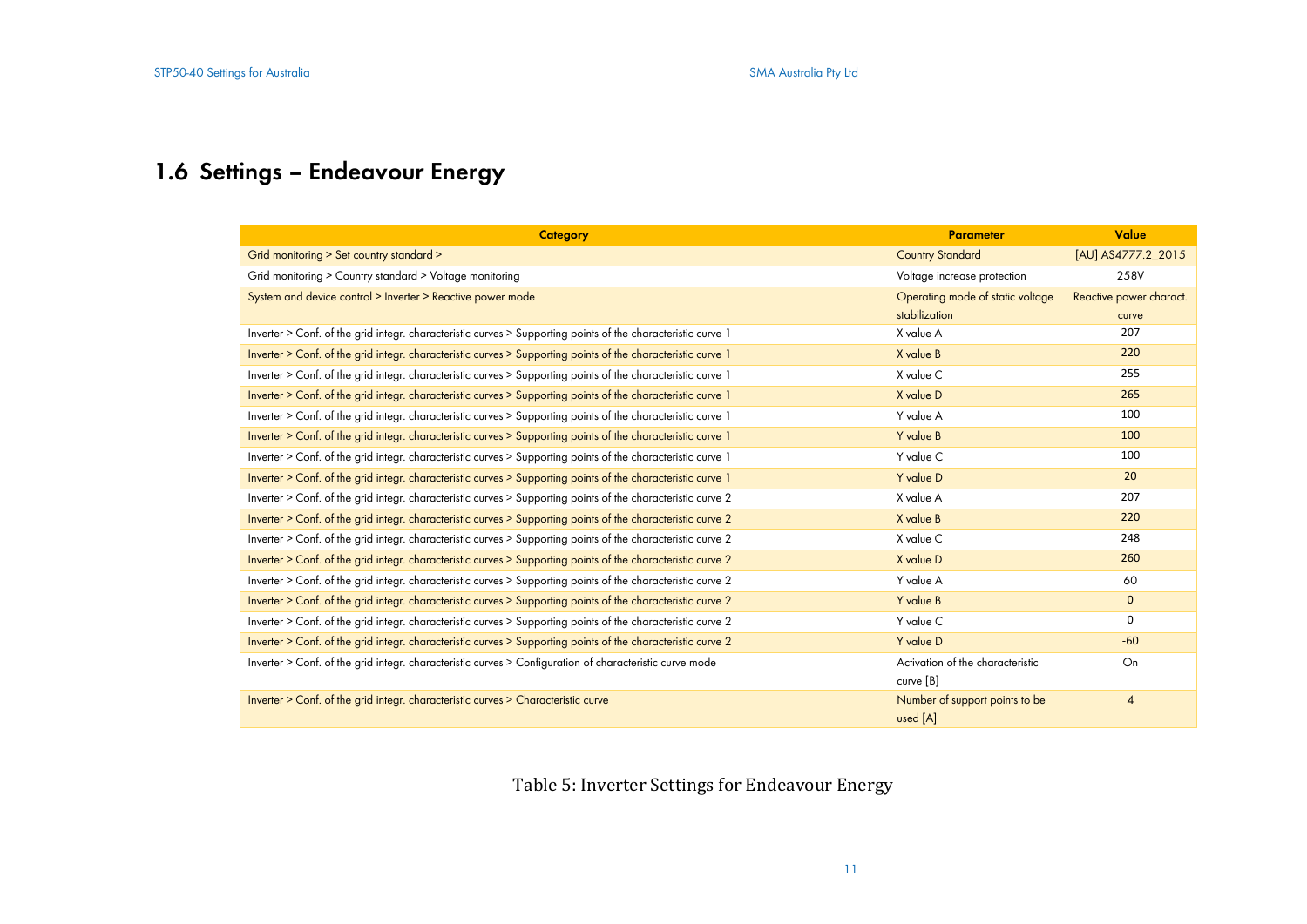# **1.6 Settings – Endeavour Energy**

| <b>Category</b>                                                                                              | <b>Parameter</b>                 | Value                   |
|--------------------------------------------------------------------------------------------------------------|----------------------------------|-------------------------|
| Grid monitoring > Set country standard >                                                                     | <b>Country Standard</b>          | [AU] AS4777.2 2015      |
| Grid monitoring > Country standard > Voltage monitoring                                                      | Voltage increase protection      | 258V                    |
| System and device control > Inverter > Reactive power mode                                                   | Operating mode of static voltage | Reactive power charact. |
|                                                                                                              | stabilization                    | curve                   |
| Inverter > Conf. of the grid integr. characteristic curves > Supporting points of the characteristic curve 1 | X value A                        | 207                     |
| Inverter > Conf. of the grid integr. characteristic curves > Supporting points of the characteristic curve 1 | X value B                        | 220                     |
| Inverter > Conf. of the grid integr. characteristic curves > Supporting points of the characteristic curve 1 | X value C                        | 255                     |
| Inverter > Conf. of the grid integr. characteristic curves > Supporting points of the characteristic curve 1 | X value D                        | 265                     |
| Inverter > Conf. of the grid integr. characteristic curves > Supporting points of the characteristic curve 1 | Y value A                        | 100                     |
| Inverter > Conf. of the grid integr. characteristic curves > Supporting points of the characteristic curve 1 | Y value B                        | 100                     |
| Inverter > Conf. of the grid integr. characteristic curves > Supporting points of the characteristic curve 1 | Y value C                        | 100                     |
| Inverter > Conf. of the grid integr. characteristic curves > Supporting points of the characteristic curve 1 | Y value D                        | 20                      |
| Inverter > Conf. of the grid integr. characteristic curves > Supporting points of the characteristic curve 2 | X value A                        | 207                     |
| Inverter > Conf. of the grid integr. characteristic curves > Supporting points of the characteristic curve 2 | X value B                        | 220                     |
| Inverter > Conf. of the grid integr. characteristic curves > Supporting points of the characteristic curve 2 | X value C                        | 248                     |
| Inverter > Conf. of the grid integr. characteristic curves > Supporting points of the characteristic curve 2 | X value D                        | 260                     |
| Inverter > Conf. of the grid integr. characteristic curves > Supporting points of the characteristic curve 2 | Y value A                        | 60                      |
| Inverter > Conf. of the grid integr. characteristic curves > Supporting points of the characteristic curve 2 | Y value B                        | $\mathbf{0}$            |
| Inverter > Conf. of the grid integr. characteristic curves > Supporting points of the characteristic curve 2 | Y value C                        | $\Omega$                |
| Inverter > Conf. of the grid integr. characteristic curves > Supporting points of the characteristic curve 2 | Y value D                        | $-60$                   |
| Inverter > Conf. of the grid integr. characteristic curves > Configuration of characteristic curve mode      | Activation of the characteristic | On                      |
|                                                                                                              | curve [B]                        |                         |
| Inverter > Conf. of the grid integr. characteristic curves > Characteristic curve                            | Number of support points to be   | $\overline{4}$          |
|                                                                                                              | used [A]                         |                         |

Table 5: Inverter Settings for Endeavour Energy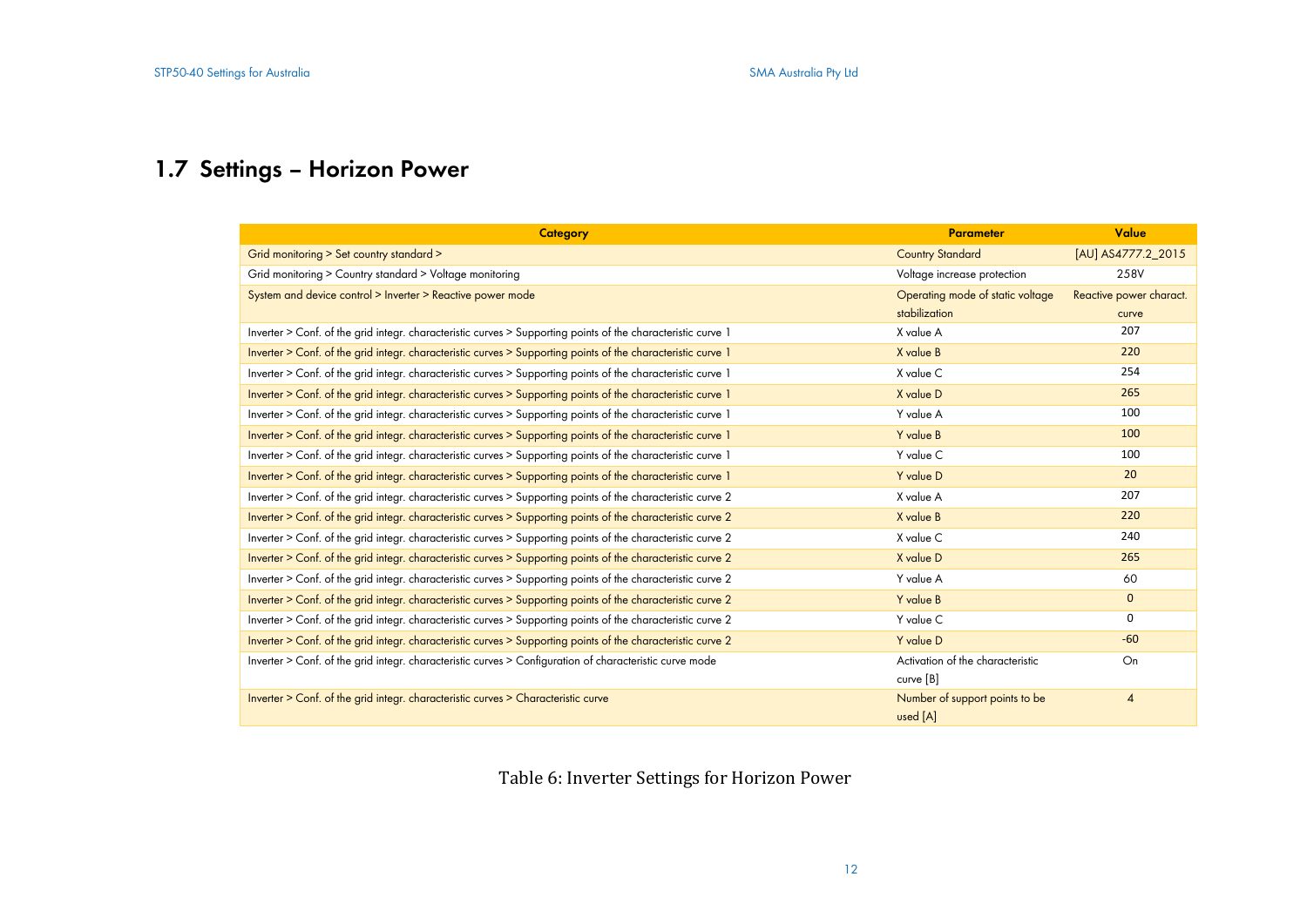# **1.7 Settings – Horizon Power**

| Category                                                                                                     | <b>Parameter</b>                 | Value                   |
|--------------------------------------------------------------------------------------------------------------|----------------------------------|-------------------------|
| Grid monitoring > Set country standard >                                                                     | <b>Country Standard</b>          | [AU] AS4777.2_2015      |
| Grid monitoring > Country standard > Voltage monitoring                                                      | Voltage increase protection      | 258V                    |
| System and device control > Inverter > Reactive power mode                                                   | Operating mode of static voltage | Reactive power charact. |
|                                                                                                              | stabilization                    | curve                   |
| Inverter > Conf. of the grid integr. characteristic curves > Supporting points of the characteristic curve 1 | X value A                        | 207                     |
| Inverter > Conf. of the grid integr. characteristic curves > Supporting points of the characteristic curve 1 | X value B                        | 220                     |
| Inverter > Conf. of the grid integr. characteristic curves > Supporting points of the characteristic curve 1 | X value C                        | 254                     |
| Inverter > Conf. of the grid integr. characteristic curves > Supporting points of the characteristic curve 1 | X value D                        | 265                     |
| Inverter > Conf. of the grid integr. characteristic curves > Supporting points of the characteristic curve 1 | Y value A                        | 100                     |
| Inverter > Conf. of the grid integr. characteristic curves > Supporting points of the characteristic curve 1 | Y value B                        | 100                     |
| Inverter > Conf. of the grid integr. characteristic curves > Supporting points of the characteristic curve 1 | Y value C                        | 100                     |
| Inverter > Conf. of the grid integr. characteristic curves > Supporting points of the characteristic curve 1 | Y value D                        | 20                      |
| Inverter > Conf. of the grid integr. characteristic curves > Supporting points of the characteristic curve 2 | X value A                        | 207                     |
| Inverter > Conf. of the grid integr. characteristic curves > Supporting points of the characteristic curve 2 | X value B                        | 220                     |
| Inverter > Conf. of the grid integr. characteristic curves > Supporting points of the characteristic curve 2 | X value C                        | 240                     |
| Inverter > Conf. of the grid integr. characteristic curves > Supporting points of the characteristic curve 2 | X value D                        | 265                     |
| Inverter > Conf. of the grid integr. characteristic curves > Supporting points of the characteristic curve 2 | Y value A                        | 60                      |
| Inverter > Conf. of the grid integr. characteristic curves > Supporting points of the characteristic curve 2 | Y value B                        | $\mathbf{0}$            |
| Inverter > Conf. of the grid integr. characteristic curves > Supporting points of the characteristic curve 2 | Y value C                        | $\Omega$                |
| Inverter > Conf. of the grid integr. characteristic curves > Supporting points of the characteristic curve 2 | Y value D                        | $-60$                   |
| Inverter > Conf. of the grid integr. characteristic curves > Configuration of characteristic curve mode      | Activation of the characteristic | On                      |
|                                                                                                              | curve [B]                        |                         |
| Inverter > Conf. of the grid integr. characteristic curves > Characteristic curve                            | Number of support points to be   | $\overline{4}$          |
|                                                                                                              | used [A]                         |                         |

Table 6: Inverter Settings for Horizon Power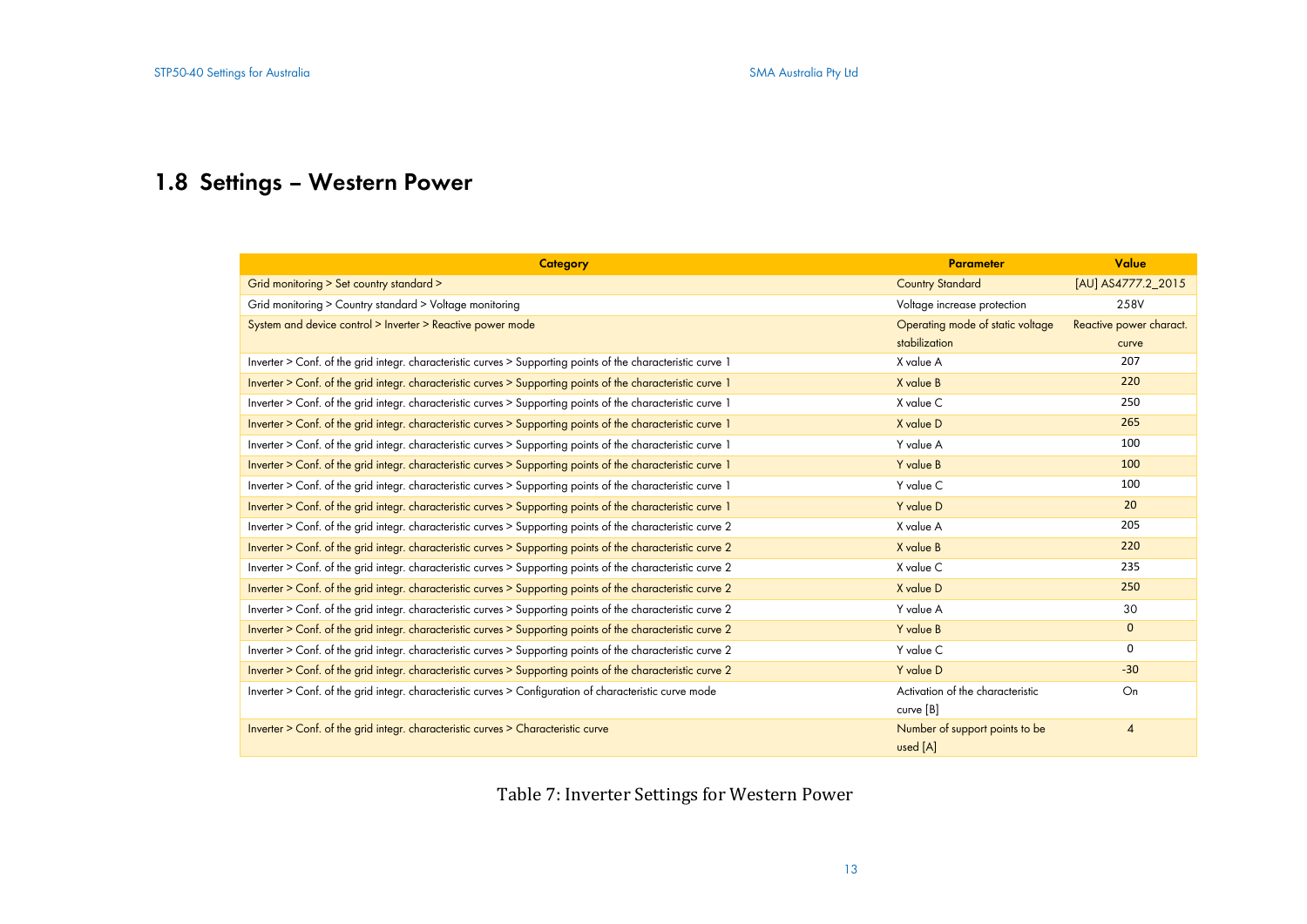# **1.8 Settings – Western Power**

| <b>Category</b>                                                                                              | <b>Parameter</b>                 | Value                   |
|--------------------------------------------------------------------------------------------------------------|----------------------------------|-------------------------|
| Grid monitoring > Set country standard >                                                                     | <b>Country Standard</b>          | [AU] AS4777.2_2015      |
| Grid monitoring > Country standard > Voltage monitoring                                                      | Voltage increase protection      | 258V                    |
| System and device control > Inverter > Reactive power mode                                                   | Operating mode of static voltage | Reactive power charact. |
|                                                                                                              | stabilization                    | curve                   |
| Inverter > Conf. of the grid integr. characteristic curves > Supporting points of the characteristic curve 1 | X value A                        | 207                     |
| Inverter > Conf. of the grid integr. characteristic curves > Supporting points of the characteristic curve 1 | X value B                        | 220                     |
| Inverter > Conf. of the grid integr. characteristic curves > Supporting points of the characteristic curve 1 | X value C                        | 250                     |
| Inverter > Conf. of the grid integr. characteristic curves > Supporting points of the characteristic curve 1 | X value D                        | 265                     |
| Inverter > Conf. of the grid integr. characteristic curves > Supporting points of the characteristic curve 1 | Y value A                        | 100                     |
| Inverter > Conf. of the grid integr. characteristic curves > Supporting points of the characteristic curve 1 | Y value B                        | 100                     |
| Inverter > Conf. of the grid integr. characteristic curves > Supporting points of the characteristic curve 1 | Y value C                        | 100                     |
| Inverter > Conf. of the grid integr. characteristic curves > Supporting points of the characteristic curve 1 | Y value D                        | 20                      |
| Inverter > Conf. of the grid integr. characteristic curves > Supporting points of the characteristic curve 2 | X value A                        | 205                     |
| Inverter > Conf. of the grid integr. characteristic curves > Supporting points of the characteristic curve 2 | X value B                        | 220                     |
| Inverter > Conf. of the grid integr. characteristic curves > Supporting points of the characteristic curve 2 | X value C                        | 235                     |
| Inverter > Conf. of the grid integr. characteristic curves > Supporting points of the characteristic curve 2 | X value D                        | 250                     |
| Inverter > Conf. of the grid integr. characteristic curves > Supporting points of the characteristic curve 2 | Y value A                        | 30                      |
| Inverter > Conf. of the grid integr. characteristic curves > Supporting points of the characteristic curve 2 | Y value B                        | $\mathbf{0}$            |
| Inverter > Conf. of the grid integr. characteristic curves > Supporting points of the characteristic curve 2 | Y value C                        | 0                       |
| Inverter > Conf. of the grid integr. characteristic curves > Supporting points of the characteristic curve 2 | Y value D                        | $-30$                   |
| Inverter > Conf. of the grid integr. characteristic curves > Configuration of characteristic curve mode      | Activation of the characteristic | On                      |
|                                                                                                              | curve [B]                        |                         |
| Inverter > Conf. of the grid integr. characteristic curves > Characteristic curve                            | Number of support points to be   | $\overline{4}$          |
|                                                                                                              | used [A]                         |                         |

Table 7: Inverter Settings for Western Power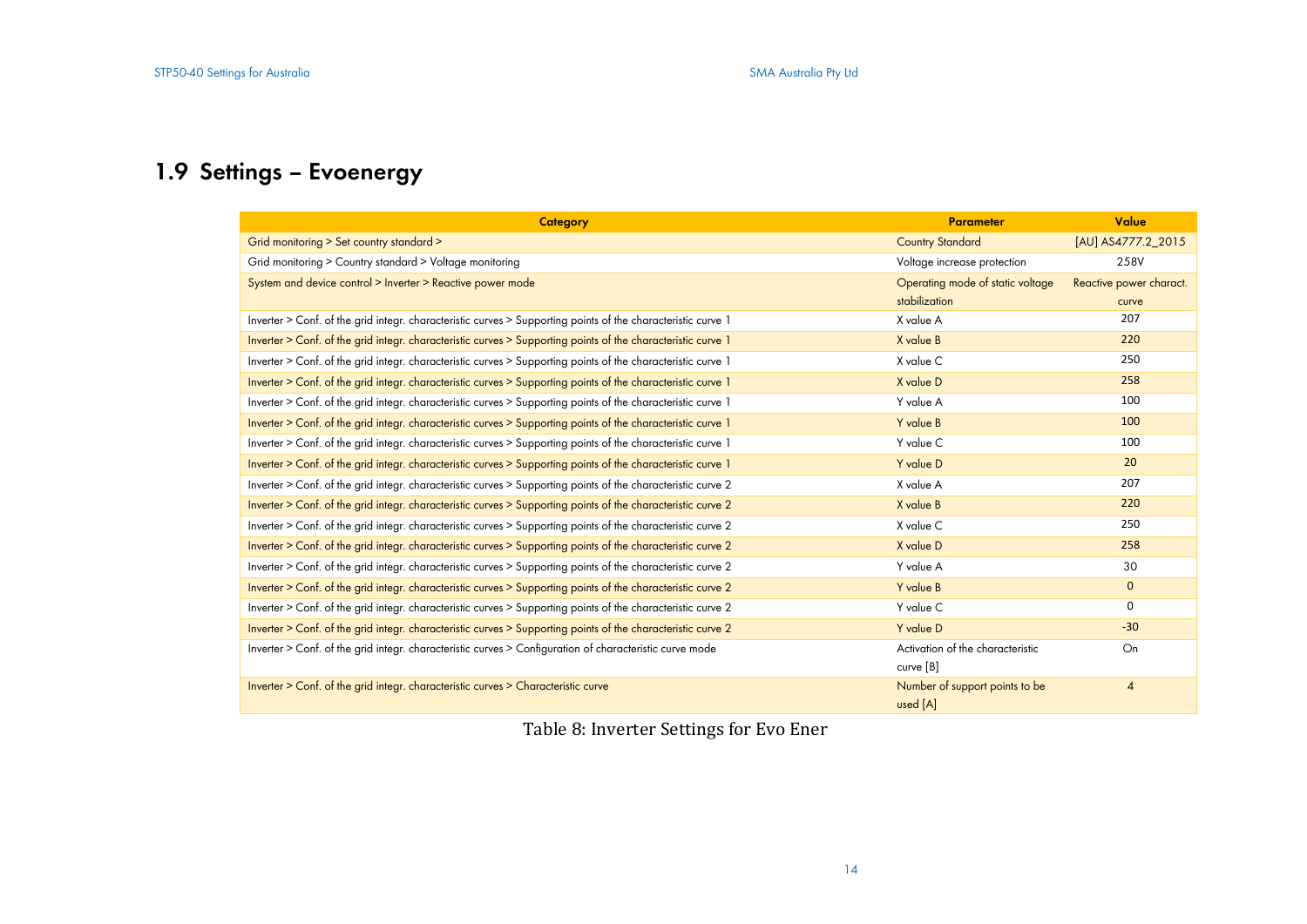# **1.9 Settings – Evoenergy**

| <b>Category</b>                                                                                              | <b>Parameter</b>                 | Value                   |
|--------------------------------------------------------------------------------------------------------------|----------------------------------|-------------------------|
| Grid monitoring > Set country standard >                                                                     | <b>Country Standard</b>          | [AU] AS4777.2_2015      |
| Grid monitoring > Country standard > Voltage monitoring                                                      | Voltage increase protection      | 258V                    |
| System and device control > Inverter > Reactive power mode                                                   | Operating mode of static voltage | Reactive power charact. |
|                                                                                                              | stabilization                    | curve                   |
| Inverter > Conf. of the grid integr. characteristic curves > Supporting points of the characteristic curve 1 | X value A                        | 207                     |
| Inverter > Conf. of the grid integr. characteristic curves > Supporting points of the characteristic curve 1 | X value B                        | 220                     |
| Inverter > Conf. of the grid integr. characteristic curves > Supporting points of the characteristic curve 1 | X value C                        | 250                     |
| Inverter > Conf. of the grid integr. characteristic curves > Supporting points of the characteristic curve 1 | X value D                        | 258                     |
| Inverter > Conf. of the grid integr. characteristic curves > Supporting points of the characteristic curve 1 | Y value A                        | 100                     |
| Inverter > Conf. of the grid integr. characteristic curves > Supporting points of the characteristic curve 1 | Y value B                        | 100                     |
| Inverter > Conf. of the grid integr. characteristic curves > Supporting points of the characteristic curve 1 | Y value C                        | 100                     |
| Inverter > Conf. of the grid integr. characteristic curves > Supporting points of the characteristic curve 1 | Y value D                        | 20                      |
| Inverter > Conf. of the grid integr. characteristic curves > Supporting points of the characteristic curve 2 | X value A                        | 207                     |
| Inverter > Conf. of the grid integr. characteristic curves > Supporting points of the characteristic curve 2 | X value B                        | 220                     |
| Inverter > Conf. of the grid integr. characteristic curves > Supporting points of the characteristic curve 2 | X value C                        | 250                     |
| Inverter > Conf. of the grid integr. characteristic curves > Supporting points of the characteristic curve 2 | X value D                        | 258                     |
| Inverter > Conf. of the grid integr. characteristic curves > Supporting points of the characteristic curve 2 | Y value A                        | 30                      |
| Inverter > Conf. of the grid integr. characteristic curves > Supporting points of the characteristic curve 2 | Y value B                        | $\mathbf{0}$            |
| Inverter > Conf. of the grid integr. characteristic curves > Supporting points of the characteristic curve 2 | Y value C                        | 0                       |
| Inverter > Conf. of the grid integr. characteristic curves > Supporting points of the characteristic curve 2 | Y value D                        | $-30$                   |
| Inverter > Conf. of the grid integr. characteristic curves > Configuration of characteristic curve mode      | Activation of the characteristic | On                      |
|                                                                                                              | curve [B]                        |                         |
| Inverter > Conf. of the grid integr. characteristic curves > Characteristic curve                            | Number of support points to be   | $\overline{4}$          |
|                                                                                                              | used [A]                         |                         |

Table 8: Inverter Settings for Evo Ener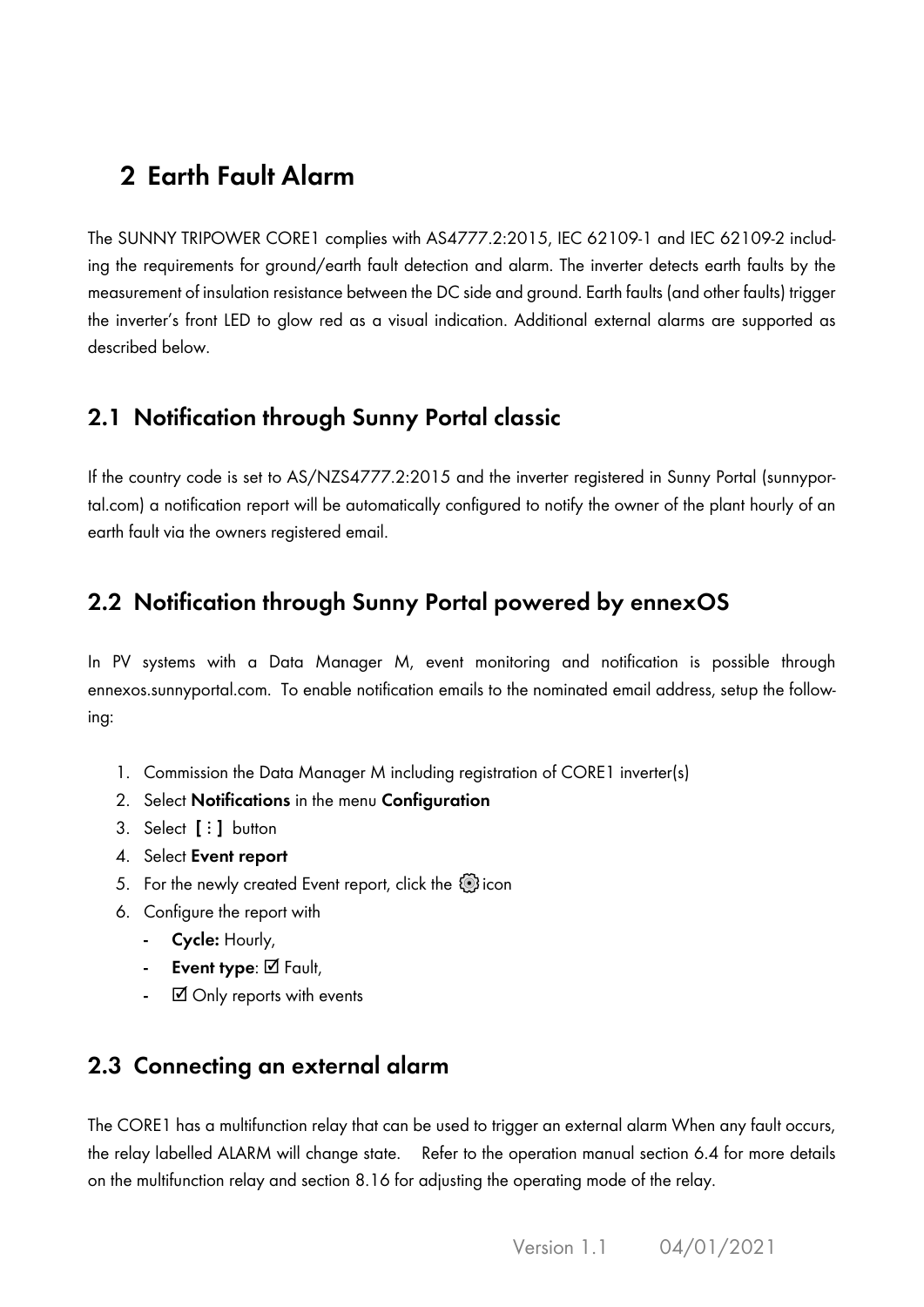# **2 Earth Fault Alarm**

The SUNNY TRIPOWER CORE1 complies with AS4777.2:2015, IEC 62109-1 and IEC 62109-2 including the requirements for ground/earth fault detection and alarm. The inverter detects earth faults by the measurement of insulation resistance between the DC side and ground. Earth faults (and other faults) trigger the inverter's front LED to glow red as a visual indication. Additional external alarms are supported as described below.

#### **2.1 Notification through Sunny Portal classic**

If the country code is set to AS/NZS4777.2:2015 and the inverter registered in Sunny Portal (sunnyportal.com) a notification report will be automatically configured to notify the owner of the plant hourly of an earth fault via the owners registered email.

### **2.2 Notification through Sunny Portal powered by ennexOS**

In PV systems with a Data Manager M, event monitoring and notification is possible through ennexos.sunnyportal.com. To enable notification emails to the nominated email address, setup the following:

- 1. Commission the Data Manager M including registration of CORE1 inverter(s)
- 2. Select **Notifications** in the menu **Configuration**
- 3. Select **[⋮]** button
- 4. Select **Event report**
- 5. For the newly created Event report, click the  $\circled{p}$  icon
- 6. Configure the report with
	- **- Cycle:** Hourly,
	- **- Event type**: ☑ Fault,
	- **-** ☑ Only reports with events

### **2.3 Connecting an external alarm**

The CORE1 has a multifunction relay that can be used to trigger an external alarm When any fault occurs, the relay labelled ALARM will change state. Refer to the operation manual section 6.4 for more details on the multifunction relay and section 8.16 for adjusting the operating mode of the relay.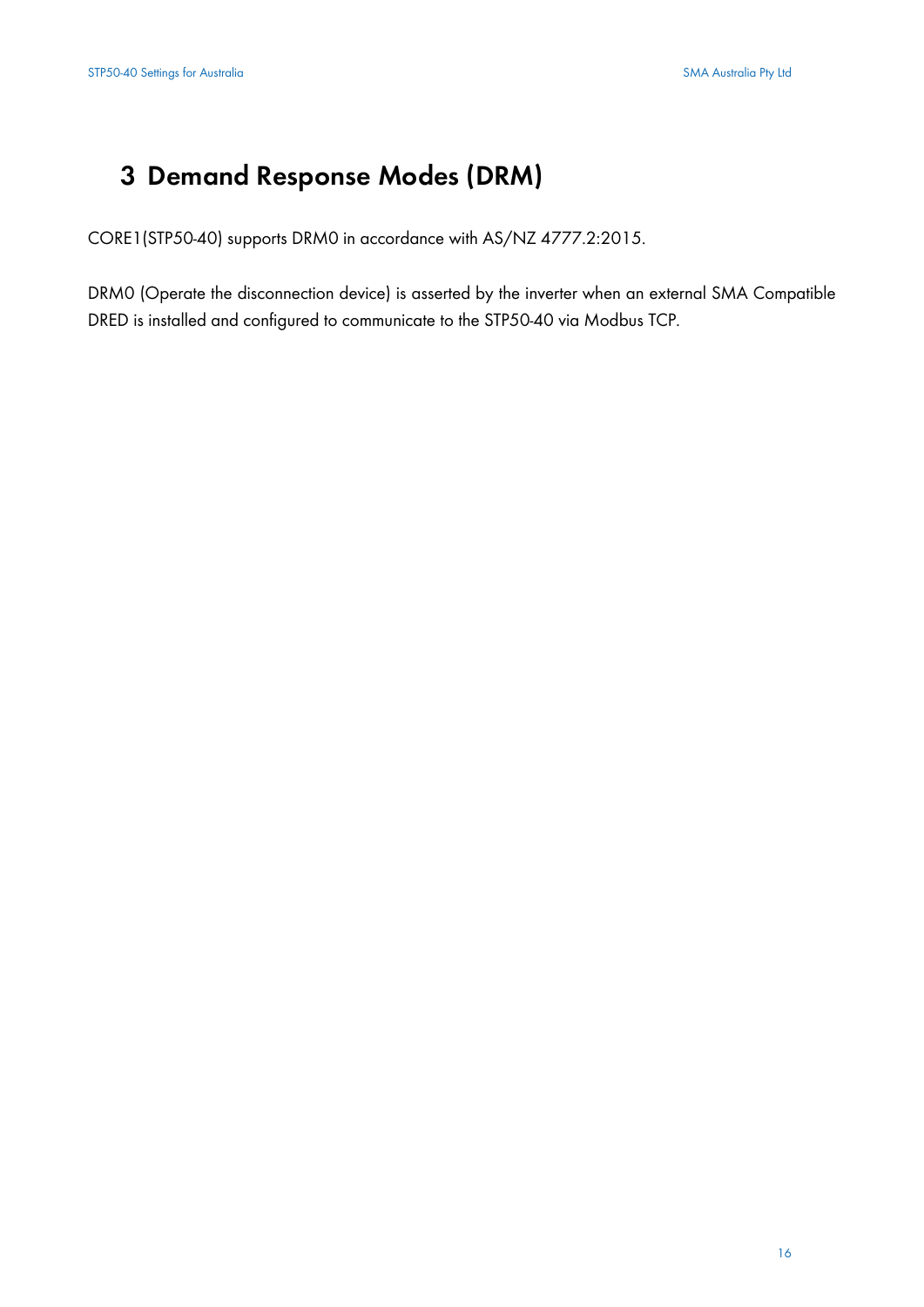# **3 Demand Response Modes (DRM)**

CORE1(STP50-40) supports DRM0 in accordance with AS/NZ 4777.2:2015.

DRM0 (Operate the disconnection device) is asserted by the inverter when an external SMA Compatible DRED is installed and configured to communicate to the STP50-40 via Modbus TCP.